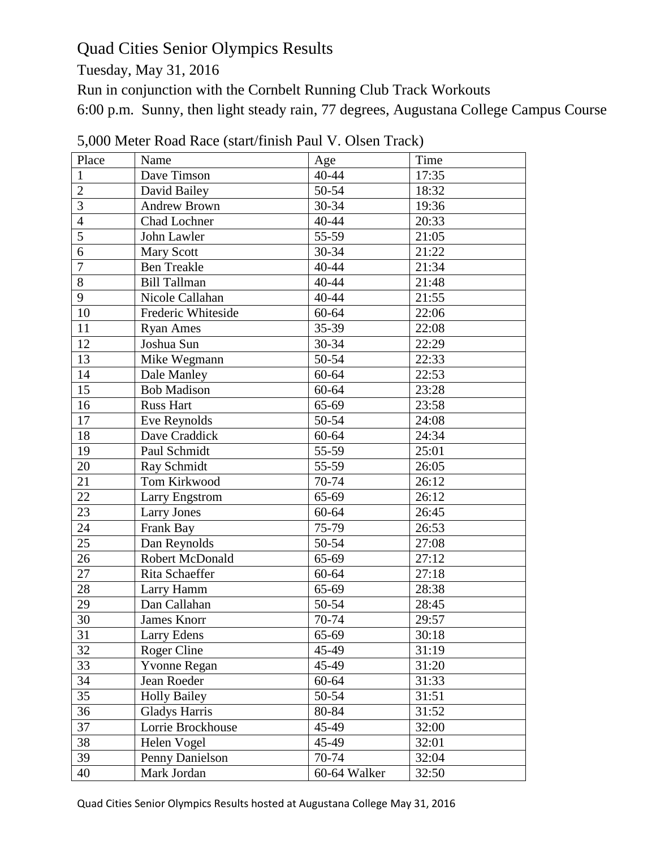# Quad Cities Senior Olympics Results

Tuesday, May 31, 2016

Run in conjunction with the Cornbelt Running Club Track Workouts

6:00 p.m. Sunny, then light steady rain, 77 degrees, Augustana College Campus Course

| Place          | Name                 | Age          | Time  |
|----------------|----------------------|--------------|-------|
| $\mathbf{1}$   | Dave Timson          | 40-44        | 17:35 |
| $\overline{2}$ | David Bailey         | 50-54        | 18:32 |
| $\mathfrak{Z}$ | <b>Andrew Brown</b>  | 30-34        | 19:36 |
| $\overline{4}$ | Chad Lochner         | 40-44        | 20:33 |
| $\overline{5}$ | John Lawler          | 55-59        | 21:05 |
| $\overline{6}$ | <b>Mary Scott</b>    | 30-34        | 21:22 |
| $\overline{7}$ | <b>Ben Treakle</b>   | 40-44        | 21:34 |
| $\overline{8}$ | <b>Bill Tallman</b>  | 40-44        | 21:48 |
| 9              | Nicole Callahan      | 40-44        | 21:55 |
| 10             | Frederic Whiteside   | 60-64        | 22:06 |
| 11             | <b>Ryan Ames</b>     | 35-39        | 22:08 |
| 12             | Joshua Sun           | 30-34        | 22:29 |
| 13             | Mike Wegmann         | 50-54        | 22:33 |
| 14             | Dale Manley          | 60-64        | 22:53 |
| 15             | <b>Bob Madison</b>   | 60-64        | 23:28 |
| 16             | <b>Russ Hart</b>     | 65-69        | 23:58 |
| 17             | Eve Reynolds         | 50-54        | 24:08 |
| 18             | Dave Craddick        | 60-64        | 24:34 |
| 19             | Paul Schmidt         | 55-59        | 25:01 |
| 20             | Ray Schmidt          | 55-59        | 26:05 |
| 21             | Tom Kirkwood         | 70-74        | 26:12 |
| 22             | Larry Engstrom       | 65-69        | 26:12 |
| 23             | Larry Jones          | 60-64        | 26:45 |
| 24             | Frank Bay            | 75-79        | 26:53 |
| 25             | Dan Reynolds         | 50-54        | 27:08 |
| 26             | Robert McDonald      | 65-69        | 27:12 |
| 27             | Rita Schaeffer       | 60-64        | 27:18 |
| 28             | Larry Hamm           | 65-69        | 28:38 |
| 29             | Dan Callahan         | 50-54        | 28:45 |
| 30             | James Knorr          | 70-74        | 29:57 |
| 31             | Larry Edens          | 65-69        | 30:18 |
| 32             | Roger Cline          | 45-49        | 31:19 |
| 33             | <b>Yvonne Regan</b>  | 45-49        | 31:20 |
| 34             | Jean Roeder          | 60-64        | 31:33 |
| 35             | <b>Holly Bailey</b>  | 50-54        | 31:51 |
| 36             | <b>Gladys Harris</b> | 80-84        | 31:52 |
| 37             | Lorrie Brockhouse    | 45-49        | 32:00 |
| 38             | Helen Vogel          | 45-49        | 32:01 |
| 39             | Penny Danielson      | 70-74        | 32:04 |
| 40             | Mark Jordan          | 60-64 Walker | 32:50 |

5,000 Meter Road Race (start/finish Paul V. Olsen Track)

Quad Cities Senior Olympics Results hosted at Augustana College May 31, 2016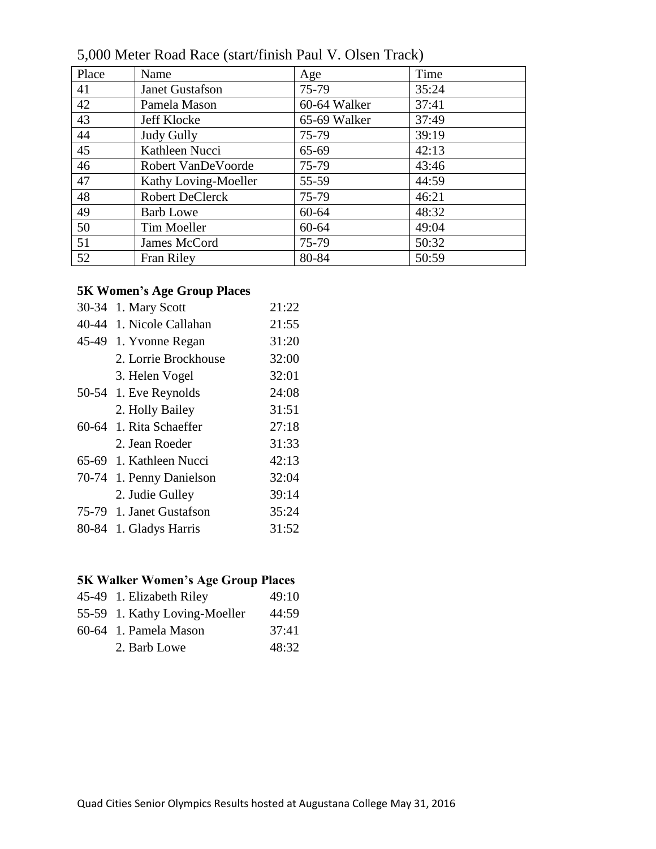| Place | Name                   | Age          | Time  |
|-------|------------------------|--------------|-------|
| 41    | <b>Janet Gustafson</b> | 75-79        | 35:24 |
| 42    | Pamela Mason           | 60-64 Walker | 37:41 |
| 43    | Jeff Klocke            | 65-69 Walker | 37:49 |
| 44    | Judy Gully             | 75-79        | 39:19 |
| 45    | Kathleen Nucci         | 65-69        | 42:13 |
| 46    | Robert VanDeVoorde     | 75-79        | 43:46 |
| 47    | Kathy Loving-Moeller   | 55-59        | 44:59 |
| 48    | <b>Robert DeClerck</b> | 75-79        | 46:21 |
| 49    | <b>Barb Lowe</b>       | 60-64        | 48:32 |
| 50    | Tim Moeller            | $60 - 64$    | 49:04 |
| 51    | James McCord           | 75-79        | 50:32 |
| 52    | <b>Fran Riley</b>      | 80-84        | 50:59 |

5,000 Meter Road Race (start/finish Paul V. Olsen Track)

#### **5K Women's Age Group Places**

| 30-34     | 1. Mary Scott            | 21:22 |
|-----------|--------------------------|-------|
| 40-44     | 1. Nicole Callahan       | 21:55 |
|           | 45-49 1. Yvonne Regan    | 31:20 |
|           | 2. Lorrie Brockhouse     | 32:00 |
|           | 3. Helen Vogel           | 32:01 |
|           | 50-54 1. Eve Reynolds    | 24:08 |
|           | 2. Holly Bailey          | 31:51 |
| $60 - 64$ | 1. Rita Schaeffer        | 27:18 |
|           | 2. Jean Roeder           | 31:33 |
|           | 65-69 1. Kathleen Nucci  | 42:13 |
| 70-74     | 1. Penny Danielson       | 32:04 |
|           | 2. Judie Gulley          | 39:14 |
|           | 75-79 1. Janet Gustafson | 35:24 |
| 80-84     | 1. Gladys Harris         | 31:52 |

## **5K Walker Women's Age Group Places**

| 45-49 1. Elizabeth Riley      | 49:10 |
|-------------------------------|-------|
| 55-59 1. Kathy Loving-Moeller | 44:59 |
| 60-64 1. Pamela Mason         | 37:41 |
| 2. Barb Lowe                  | 48:32 |